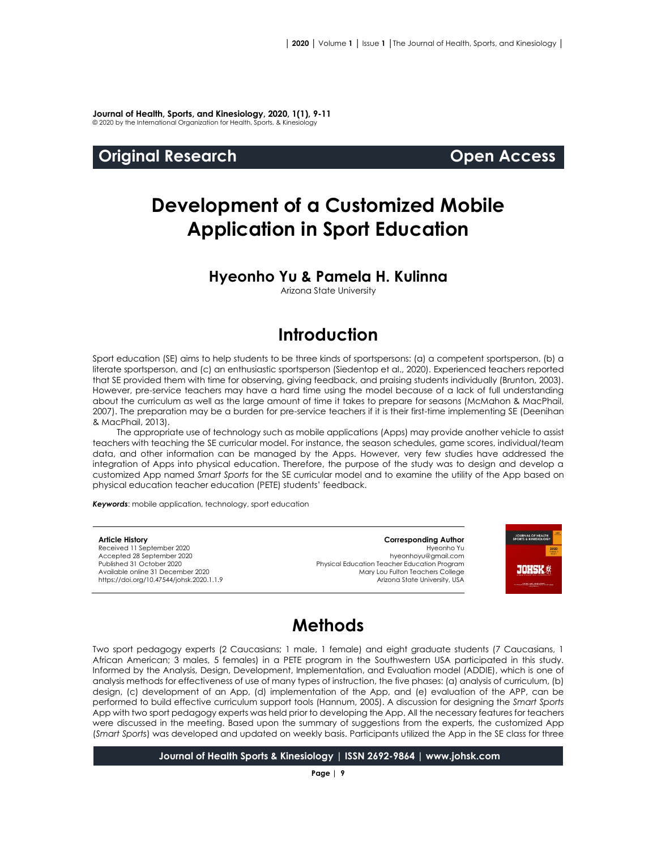**Journal of Health, Sports, and Kinesiology, 2020, 1(1), 9-11** © 2020 by the International Organization for Health, Sports, & Kinesiology

#### **Original Research Open Access**

# **Development of a Customized Mobile Application in Sport Education**

#### **Hyeonho Yu & Pamela H. Kulinna**

Arizona State University

### **Introduction**

Sport education (SE) aims to help students to be three kinds of sportspersons: (a) a competent sportsperson, (b) a literate sportsperson, and (c) an enthusiastic sportsperson (Siedentop et al., 2020). Experienced teachers reported that SE provided them with time for observing, giving feedback, and praising students individually (Brunton, 2003). However, pre-service teachers may have a hard time using the model because of a lack of full understanding about the curriculum as well as the large amount of time it takes to prepare for seasons (McMahon & MacPhail, 2007). The preparation may be a burden for pre-service teachers if it is their first-time implementing SE (Deenihan & MacPhail, 2013).

The appropriate use of technology such as mobile applications (Apps) may provide another vehicle to assist teachers with teaching the SE curricular model. For instance, the season schedules, game scores, individual/team data, and other information can be managed by the Apps. However, very few studies have addressed the integration of Apps into physical education. Therefore, the purpose of the study was to design and develop a customized App named *Smart Sports* for the SE curricular model and to examine the utility of the App based on physical education teacher education (PETE) students' feedback.

*Keywords*: mobile application, technology, sport education

#### **Article History** Received 11 September 2020 Accepted 28 September 2020 Published 31 October 2020 Available online 31 December 2020 <https://doi.org/10.47544/johsk.2020.1.1.9>

**Corresponding Author** Hyeonho Yu hyeonhoyu@gmail.com Physical Education Teacher Education Program Mary Lou Fulton Teachers College Arizona State University, USA



### **Methods**

Two sport pedagogy experts (2 Caucasians; 1 male, 1 female) and eight graduate students (7 Caucasians, 1 African American; 3 males, 5 females) in a PETE program in the Southwestern USA participated in this study. Informed by the Analysis, Design, Development, Implementation, and Evaluation model (ADDIE), which is one of analysis methods for effectiveness of use of many types of instruction, the five phases: (a) analysis of curriculum, (b) design, (c) development of an App, (d) implementation of the App, and (e) evaluation of the APP, can be performed to build effective curriculum support tools (Hannum, 2005). A discussion for designing the *Smart Sports* App with two sport pedagogy experts was held prior to developing the App. All the necessary features for teachers were discussed in the meeting. Based upon the summary of suggestions from the experts, the customized App (*Smart Sports*) was developed and updated on weekly basis. Participants utilized the App in the SE class for three

**Journal of Health Sports & Kinesiology | ISSN 2692-9864 | www.johsk.com**

**Page | 9**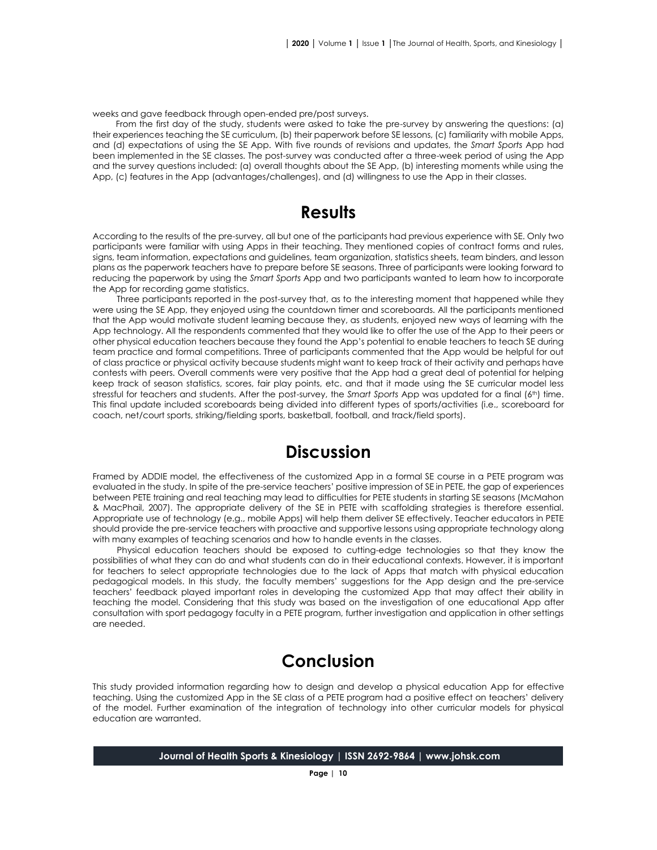weeks and gave feedback through open-ended pre/post surveys.

From the first day of the study, students were asked to take the pre-survey by answering the questions: (a) their experiences teaching the SE curriculum, (b) their paperwork before SE lessons, (c) familiarity with mobile Apps, and (d) expectations of using the SE App. With five rounds of revisions and updates, the *Smart Sports* App had been implemented in the SE classes. The post-survey was conducted after a three-week period of using the App and the survey questions included: (a) overall thoughts about the SE App, (b) interesting moments while using the App, (c) features in the App (advantages/challenges), and (d) willingness to use the App in their classes.

#### **Results**

According to the results of the pre-survey, all but one of the participants had previous experience with SE. Only two participants were familiar with using Apps in their teaching. They mentioned copies of contract forms and rules, signs, team information, expectations and guidelines, team organization, statistics sheets, team binders, and lesson plans as the paperwork teachers have to prepare before SE seasons. Three of participants were looking forward to reducing the paperwork by using the *Smart Sports* App and two participants wanted to learn how to incorporate the App for recording game statistics.

Three participants reported in the post-survey that, as to the interesting moment that happened while they were using the SE App, they enjoyed using the countdown timer and scoreboards. All the participants mentioned that the App would motivate student learning because they, as students, enjoyed new ways of learning with the App technology. All the respondents commented that they would like to offer the use of the App to their peers or other physical education teachers because they found the App's potential to enable teachers to teach SE during team practice and formal competitions. Three of participants commented that the App would be helpful for out of class practice or physical activity because students might want to keep track of their activity and perhaps have contests with peers. Overall comments were very positive that the App had a great deal of potential for helping keep track of season statistics, scores, fair play points, etc. and that it made using the SE curricular model less stressful for teachers and students. After the post-survey, the *Smart Sports* App was updated for a final (6<sup>th</sup>) time. This final update included scoreboards being divided into different types of sports/activities (i.e., scoreboard for coach, net/court sports, striking/fielding sports, basketball, football, and track/field sports).

#### **Discussion**

Framed by ADDIE model, the effectiveness of the customized App in a formal SE course in a PETE program was evaluated in the study. In spite of the pre-service teachers' positive impression of SE in PETE, the gap of experiences between PETE training and real teaching may lead to difficulties for PETE students in starting SE seasons (McMahon & MacPhail, 2007). The appropriate delivery of the SE in PETE with scaffolding strategies is therefore essential. Appropriate use of technology (e.g., mobile Apps) will help them deliver SE effectively. Teacher educators in PETE should provide the pre-service teachers with proactive and supportive lessons using appropriate technology along with many examples of teaching scenarios and how to handle events in the classes.

Physical education teachers should be exposed to cutting-edge technologies so that they know the possibilities of what they can do and what students can do in their educational contexts. However, it is important for teachers to select appropriate technologies due to the lack of Apps that match with physical education pedagogical models. In this study, the faculty members' suggestions for the App design and the pre-service teachers' feedback played important roles in developing the customized App that may affect their ability in teaching the model. Considering that this study was based on the investigation of one educational App after consultation with sport pedagogy faculty in a PETE program, further investigation and application in other settings are needed.

## **Conclusion**

This study provided information regarding how to design and develop a physical education App for effective teaching. Using the customized App in the SE class of a PETE program had a positive effect on teachers' delivery of the model. Further examination of the integration of technology into other curricular models for physical education are warranted.

**Journal of Health Sports & Kinesiology | ISSN 2692-9864 | www.johsk.com**